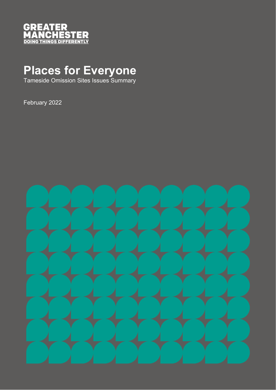

## **Places for Everyone**

Tameside Omission Sites Issues Summary

February 2022

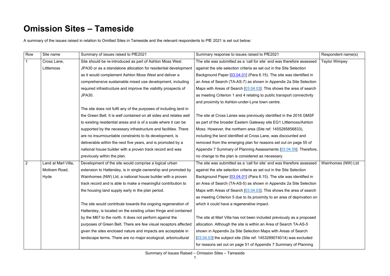## **Omission Sites – Tameside**

A summary of the issues raised in relation to Omitted Sites in Tameside and the relevant respondents to PfE 2021 is set out below:

| Row | Site name           | Summary of issues raised to PfE2021                                | Summary response to issues raised to PfE2021                             | Respondent name(s)   |
|-----|---------------------|--------------------------------------------------------------------|--------------------------------------------------------------------------|----------------------|
|     | Cross Lane,         | Site should be re-introduced as part of Ashton Moss West           | The site was submitted as a 'call for site' and was therefore assessed   | <b>Taylor Wimpey</b> |
|     | Littlemoss          | JPA30 or as a standalone allocation for residential development    | against the site selection criteria as set out in the Site Selection     |                      |
|     |                     | as it would complement Ashton Moss West and deliver a              | Background Paper [03.04.01] (Para 6.15). The site was identified in      |                      |
|     |                     | comprehensive sustainable mixed use development, including         | an Area of Search (TA-AS-7) as shown in Appendix 2a Site Selection       |                      |
|     |                     | required infrastructure and improve the viability prospects of     | Maps with Areas of Search $[03.04.03]$ . This shows the area of search   |                      |
|     |                     | JPA30.                                                             | as meeting Criterion 1 and 4 relating to public transport connectivity   |                      |
|     |                     |                                                                    | and proximity to Ashton-under-Lyne town centre.                          |                      |
|     |                     | The site does not fulfil any of the purposes of including land in  |                                                                          |                      |
|     |                     | the Green Belt. It is well contained on all sides and relates well | The site at Cross Lanes was previously identified in the 2016 GMSF       |                      |
|     |                     | to existing residential areas and is of a scale where it can be    | as part of the broader Eastern Gateway site EG1 Littlemoss/Ashton        |                      |
|     |                     | supported by the necessary infrastructure and facilities. There    | Moss. However, the northern area (Site ref: 1455285856833),              |                      |
|     |                     | are no insurmountable constraints to its development, is           | including the land identified at Cross Lane, was discounted and          |                      |
|     |                     | deliverable within the next five years, and is promoted by a       | removed from the emerging plan for reasons set out on page 55 of         |                      |
|     |                     | national house builder with a proven track record and was          | Appendix 7 Summary of Planning Assessments [03.04.09]. Therefore,        |                      |
|     |                     | previously within the plan.                                        | no change to the plan is considered as necessary.                        |                      |
| 2   | Land at Marl Villa, | Development of the site would comprise a logical urban             | The site was submitted as a 'call for site' and was therefore assessed   | Wainhomes (NW) Ltd   |
|     | Mottram Road,       | extension to Hattersley, is in single ownership and promoted by    | against the site selection criteria as set out in the Site Selection     |                      |
|     | Hyde                | Wainhomes (NW) Ltd, a national house builder with a proven         | Background Paper [03.04.01] (Para 6.15). The site was identified in      |                      |
|     |                     | track record and is able to make a meaningful contribution to      | an Area of Search (TA-AS-5) as shown in Appendix 2a Site Selection       |                      |
|     |                     | the housing land supply early in the plan period.                  | Maps with Areas of Search $[03.04.03]$ . This shows the area of search   |                      |
|     |                     |                                                                    | as meeting Criterion 5 due to its proximity to an area of deprivation on |                      |
|     |                     | The site would contribute towards the ongoing regeneration of      | which it could have a regenerative impact.                               |                      |
|     |                     | Hattersley, is located on the existing urban fringe and contained  |                                                                          |                      |
|     |                     | by the M67 to the north. It does not perform against the           | The site at Marl Villa has not been included previously as a proposed    |                      |
|     |                     | purposes of Green Belt. There are few visual receptors affected    | allocation. Although the site is within an Area of Search TA-AS-5        |                      |
|     |                     | given the sites enclosed nature and impacts are acceptable in      | shown in Appendix 2a Site Selection Maps with Areas of Search            |                      |
|     |                     | landscape terms. There are no major ecological, arboricultural     | $[03.04.03]$ the subject site (Site ref: 1453289074014) was excluded     |                      |
|     |                     |                                                                    | for reasons set out on page 51 of Appendix 7 Summary of Planning         |                      |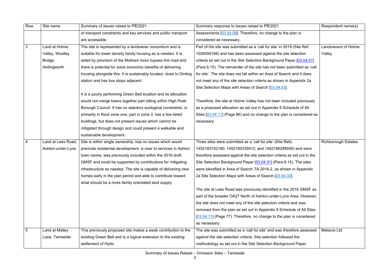Summary of Issues Raised – Omission Sites – Tameside

| Row            | Site name          | Summary of issues raised to PfE2021                                 | Summary response to issues raised to PfE2021                             | Respondent name(s)         |
|----------------|--------------------|---------------------------------------------------------------------|--------------------------------------------------------------------------|----------------------------|
|                |                    | or transport constraints and key services and public transport      | Assessments [03.04.09]. Therefore, no change to the plan is              |                            |
|                |                    | are accessible.                                                     | considered as necessary.                                                 |                            |
| $\mathbf{3}$   | Land at Holme      | The site is represented by a landowner consortium and is            | Part of the site was submitted as a 'call for site' in 2019 (Site Ref:   | <b>Landowners of Holme</b> |
|                | Valley, Woolley    | suitable for lower density family housing as is needed. It is       | 1026559166) and has been assessed against the site selection             | Valley                     |
|                | Bridge,            | aided by provision of the Mottram moor bypass link road and         | criteria as set out in the Site Selection Background Paper [03.04.01]    |                            |
|                | Hollingworth       | there is potential for socio economic benefits of delivering        | (Para 6.15). The remainder of the site has not been submitted as 'call   |                            |
|                |                    | housing alongside this. It is sustainably located, close to Dinting | for site'. The site does not fall within an Area of Search and it does   |                            |
|                |                    | station and has bus stops adjacent                                  | not meet any of the site selection criteria as shown in Appendix 2a      |                            |
|                |                    |                                                                     | Site Selection Maps with Areas of Search [03.04.03].                     |                            |
|                |                    | It is a poorly performing Green Belt location and its allocation    |                                                                          |                            |
|                |                    | would not merge towns together part sitting within High Peak        | Therefore, the site at Holme Valley has not been included previously     |                            |
|                |                    | Borough Council. It has no statutory ecological constraints, is     | as a proposed allocation as set out in Appendix 9 Schedule of All        |                            |
|                |                    | primarily in flood zone one, part in zone 3, has a few listed       | Sites [03.04.11] (Page 86) and no change to the plan is considered as    |                            |
|                |                    | buildings, but does not present issues which cannot be              | necessary.                                                               |                            |
|                |                    | mitigated through design and could present a walkable and           |                                                                          |                            |
|                |                    | sustainable development.                                            |                                                                          |                            |
| $\overline{4}$ | Land at Lees Road, | Site is within single ownership, has no issues which would          | Three sites were submitted as a 'call for site' (Site Refs:              | <b>Richborough Estates</b> |
|                | Ashton-under-Lyne  | preclude residential development, is near to services in Ashton     | 1452183742190; 1452185335912; and 1452186288595) and were                |                            |
|                |                    | town centre, was previously included within the 2016 draft          | therefore assessed against the site selection criteria as set out in the |                            |
|                |                    | GMSF and could be supported by contributions for mitigating         | Site Selection Background Paper [03.04.01] (Para 6.15). The sites        |                            |
|                |                    | infrastructure as needed. The site is capable of delivering new     | were identified in Area of Search TA-2016-2, as shown in Appendix        |                            |
|                |                    | homes early in the plan period and able to contribute toward        | 2a Site Selection Maps with Areas of Search [03.04.03].                  |                            |
|                |                    | what should be a more family orientated land supply.                |                                                                          |                            |
|                |                    |                                                                     | The site at Lees Road was previously identified in the 2016 GMSF as      |                            |
|                |                    |                                                                     | part of the broader OA27 North of Ashton-under-Lyne Area. However,       |                            |
|                |                    |                                                                     | the site does not meet any of the site selection criteria and was        |                            |
|                |                    |                                                                     | removed from the plan as set out in Appendix 9 Schedule of All Sites     |                            |
|                |                    |                                                                     | [03.04.11] (Page 77). Therefore, no change to the plan is considered     |                            |
|                |                    |                                                                     | as necessary.                                                            |                            |
| 5              | Land at Matley     | This previously proposed site makes a weak contribution to the      | The site was submitted as a 'call for site' and was therefore assessed   | Metacre Ltd                |
|                | Lane, Tameside     | existing Green Belt and is a logical extension to the existing      | against the site selection criteria. Site selection followed the         |                            |
|                |                    | settlement of Hyde.                                                 | methodology as set out in the Site Selection Background Paper            |                            |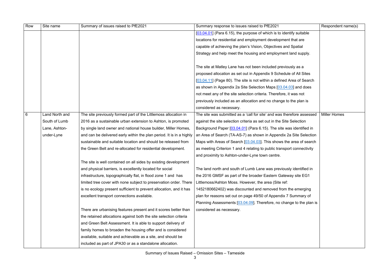Summary of Issues Raised – Omission Sites – Tameside

| Row | Site name      | Summary of issues raised to PfE2021                                  | Summary response to issues raised to PfE2021                           | Respondent name(s)  |
|-----|----------------|----------------------------------------------------------------------|------------------------------------------------------------------------|---------------------|
|     |                |                                                                      | [03.04.01] (Para 6.15), the purpose of which is to identify suitable   |                     |
|     |                |                                                                      | locations for residential and employment development that are          |                     |
|     |                |                                                                      | capable of achieving the plan's Vision, Objectives and Spatial         |                     |
|     |                |                                                                      | Strategy and help meet the housing and employment land supply.         |                     |
|     |                |                                                                      |                                                                        |                     |
|     |                |                                                                      | The site at Matley Lane has not been included previously as a          |                     |
|     |                |                                                                      | proposed allocation as set out in Appendix 9 Schedule of All Sites     |                     |
|     |                |                                                                      | [03.04.11] (Page 80). The site is not within a defined Area of Search  |                     |
|     |                |                                                                      | as shown in Appendix 2a Site Selection Maps [03.04.03] and does        |                     |
|     |                |                                                                      | not meet any of the site selection criteria. Therefore, it was not     |                     |
|     |                |                                                                      | previously included as an allocation and no change to the plan is      |                     |
|     |                |                                                                      | considered as necessary.                                               |                     |
| 6   | Land North and | The site previously formed part of the Littlemoss allocation in      | The site was submitted as a 'call for site' and was therefore assessed | <b>Miller Homes</b> |
|     | South of Lumb  | 2016 as a sustainable urban extension to Ashton, is promoted         | against the site selection criteria as set out in the Site Selection   |                     |
|     | Lane, Ashton-  | by single land owner and national house builder, Miller Homes,       | Background Paper [03.04.01] (Para 6.15). The site was identified in    |                     |
|     | under-Lyne     | and can be delivered early within the plan period. It is in a highly | an Area of Search (TA-AS-7) as shown in Appendix 2a Site Selection     |                     |
|     |                | sustainable and suitable location and should be released from        | Maps with Areas of Search $[03.04.03]$ . This shows the area of search |                     |
|     |                | the Green Belt and re-allocated for residential development.         | as meeting Criterion 1 and 4 relating to public transport connectivity |                     |
|     |                |                                                                      | and proximity to Ashton-under-Lyne town centre.                        |                     |
|     |                | The site is well contained on all sides by existing development      |                                                                        |                     |
|     |                | and physical barriers, is excellently located for social             | The land north and south of Lumb Lane was previously identified in     |                     |
|     |                | infrastructure, topographically flat, in flood zone 1 and has        | the 2016 GMSF as part of the broader Eastern Gateway site EG1          |                     |
|     |                | limited tree cover with none subject to preservation order. There    | Littlemoss/Ashton Moss. However, the area (Site ref:                   |                     |
|     |                | is no ecology present sufficient to prevent allocation, and it has   | 1452180662402) was discounted and removed from the emerging            |                     |
|     |                | excellent transport connections available.                           | plan for reasons set out on page 49/50 of Appendix 7 Summary of        |                     |
|     |                |                                                                      | Planning Assessments [03.04.09]. Therefore, no change to the plan is   |                     |
|     |                | There are urbanising features present and it scores better than      | considered as necessary.                                               |                     |
|     |                | the retained allocations against both the site selection criteria    |                                                                        |                     |
|     |                | and Green Belt Assessment. It is able to support delivery of         |                                                                        |                     |
|     |                | family homes to broaden the housing offer and is considered          |                                                                        |                     |
|     |                | available, suitable and achievable as a site, and should be          |                                                                        |                     |
|     |                | included as part of JPA30 or as a standalone allocation.             |                                                                        |                     |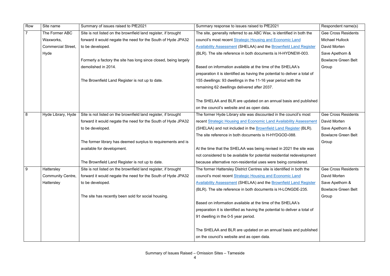| Row | Site name                 | Summary of issues raised to PfE2021                              | Summary response to issues raised to PfE2021                               | Respondent name(s)         |
|-----|---------------------------|------------------------------------------------------------------|----------------------------------------------------------------------------|----------------------------|
|     | The Former ABC            | Site is not listed on the brownfield land register, if brought   | The site, generally referred to as ABC Wax, is identified in both the      | <b>Gee Cross Residents</b> |
|     | Waxworks,                 | forward it would negate the need for the South of Hyde JPA32     | council's most recent Strategic Housing and Economic Land                  | <b>Michael Hullock</b>     |
|     | <b>Commercial Street.</b> | to be developed.                                                 | <b>Availability Assessment (SHELAA) and the Brownfield Land Register</b>   | David Morten               |
|     | Hyde                      |                                                                  | (BLR). The site reference in both documents is H-HYDNEW-003.               | Save Apethorn &            |
|     |                           | Formerly a factory the site has long since closed, being largely |                                                                            | <b>Bowlacre Green Belt</b> |
|     |                           | demolished in 2014.                                              | Based on information available at the time of the SHELAA's                 | Group                      |
|     |                           |                                                                  | preparation it is identified as having the potential to deliver a total of |                            |
|     |                           | The Brownfield Land Register is not up to date.                  | 155 dwellings: 93 dwellings in the 11-16 year period with the              |                            |
|     |                           |                                                                  | remaining 62 dwellings delivered after 2037.                               |                            |
|     |                           |                                                                  |                                                                            |                            |
|     |                           |                                                                  | The SHELAA and BLR are updated on an annual basis and published            |                            |
|     |                           |                                                                  | on the council's website and as open data.                                 |                            |
| 8   | Hyde Library, Hyde        | Site is not listed on the brownfield land register, if brought   | The former Hyde Library site was discounted in the council's most          | <b>Gee Cross Residents</b> |
|     |                           | forward it would negate the need for the South of Hyde JPA32     | recent Strategic Housing and Economic Land Availability Assessment         | David Morten               |
|     |                           | to be developed.                                                 | (SHELAA) and not included in the <b>Brownfield Land Register</b> (BLR).    | Save Apethorn &            |
|     |                           |                                                                  | The site reference in both documents is H-HYDGOD-088.                      | <b>Bowlacre Green Belt</b> |
|     |                           | The former library has deemed surplus to requirements and is     |                                                                            | Group                      |
|     |                           | available for development.                                       | At the time that the SHELAA was being revised in 2021 the site was         |                            |
|     |                           |                                                                  | not considered to be available for potential residential redevelopment     |                            |
|     |                           | The Brownfield Land Register is not up to date.                  | because alternative non-residential uses were being considered.            |                            |
| 9   | Hattersley                | Site is not listed on the brownfield land register, if brought   | The former Hattersley District Centres site is identified in both the      | <b>Gee Cross Residents</b> |
|     | <b>Community Centre,</b>  | forward it would negate the need for the South of Hyde JPA32     | council's most recent Strategic Housing and Economic Land                  | David Morten               |
|     | Hattersley                | to be developed.                                                 | Availability Assessment (SHELAA) and the Brownfield Land Register          | Save Apethorn &            |
|     |                           |                                                                  | (BLR). The site reference in both documents is H-LONGDE-235.               | <b>Bowlacre Green Belt</b> |
|     |                           | The site has recently been sold for social housing.              |                                                                            | Group                      |
|     |                           |                                                                  | Based on information available at the time of the SHELAA's                 |                            |
|     |                           |                                                                  | preparation it is identified as having the potential to deliver a total of |                            |
|     |                           |                                                                  | 91 dwelling in the 0-5 year period.                                        |                            |
|     |                           |                                                                  |                                                                            |                            |
|     |                           |                                                                  | The SHELAA and BLR are updated on an annual basis and published            |                            |
|     |                           |                                                                  | on the council's website and as open data.                                 |                            |